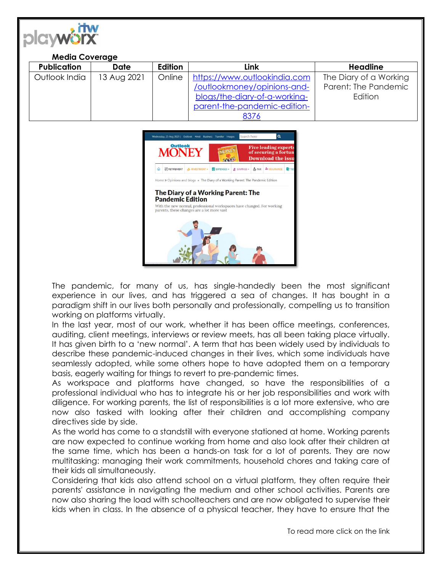| playworx<br><b>Media Coverage</b> |             |         |                                                                                                                                      |                                                           |
|-----------------------------------|-------------|---------|--------------------------------------------------------------------------------------------------------------------------------------|-----------------------------------------------------------|
| <b>Publication</b>                | <b>Date</b> | Edition | <b>Link</b>                                                                                                                          | <b>Headline</b>                                           |
| Outlook India                     | 13 Aug 2021 | Online  | https://www.outlookindia.com<br>/outlookmoney/opinions-and-<br>blogs/the-diary-of-a-working-<br>parent-the-pandemic-edition-<br>8376 | The Diary of a Working<br>Parent: The Pandemic<br>Edition |



The pandemic, for many of us, has single-handedly been the most significant experience in our lives, and has triggered a sea of changes. It has bought in a paradigm shift in our lives both personally and professionally, compelling us to transition working on platforms virtually.

In the last year, most of our work, whether it has been office meetings, conferences, auditing, client meetings, interviews or review meets, has all been taking place virtually. It has given birth to a 'new normal'. A term that has been widely used by individuals to describe these pandemic-induced changes in their lives, which some individuals have seamlessly adopted, while some others hope to have adopted them on a temporary basis, eagerly waiting for things to revert to pre-pandemic times.

As workspace and platforms have changed, so have the responsibilities of a professional individual who has to integrate his or her job responsibilities and work with diligence. For working parents, the list of responsibilities is a lot more extensive, who are now also tasked with looking after their children and accomplishing company directives side by side.

As the world has come to a standstill with everyone stationed at home. Working parents are now expected to continue working from home and also look after their children at the same time, which has been a hands-on task for a lot of parents. They are now multitasking: managing their work commitments, household chores and taking care of their kids all simultaneously.

Considering that kids also attend school on a virtual platform, they often require their parents' assistance in navigating the medium and other school activities. Parents are now also sharing the load with schoolteachers and are now obligated to supervise their kids when in class. In the absence of a physical teacher, they have to ensure that the

To read more click on the link